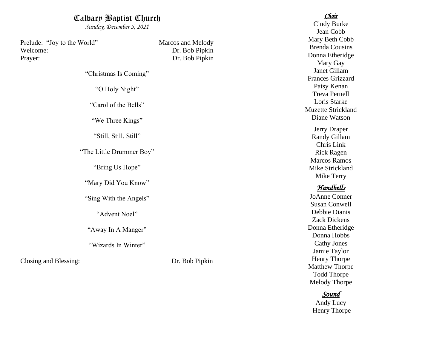## Calvary Baptist Church

*Sunday, December 5, 2021* 

Prelude: "Joy to the World" Marcos and Melody Welcome: Dr. Bob Pipkin Prayer: Dr. Bob Pipkin

"Christmas Is Coming"

"O Holy Night"

"Carol of the Bells"

"We Three Kings"

"Still, Still, Still"

"The Little Drummer Boy"

"Bring Us Hope"

"Mary Did You Know"

"Sing With the Angels"

"Advent Noel"

"Away In A Manger"

"Wizards In Winter"

Closing and Blessing: Dr. Bob Pipkin

#### *Choir*

Cindy Burke Jean Cobb Mary Beth Cobb Brenda Cousins Donna Etheridge Mary Gay Janet Gillam Frances Grizzard Patsy Kenan Treva Pernell Loris Starke M uzette Strickland Diane Watso n

Jerry Draper Randy Gillam Chris Link Rick Ragen Marcos Ramos Mike Strickland Mike Terry

### *Handbells*

JoAnne Conner Susan Conwell Debbie Dianis Zack Dickens Donna Etheridge Donna Hobbs Cathy Jones Jamie Taylor Henry Thorpe Matthew Thorpe Todd Thorpe Melody Thorpe

#### *Sound*

Andy Lucy Henry Thorpe